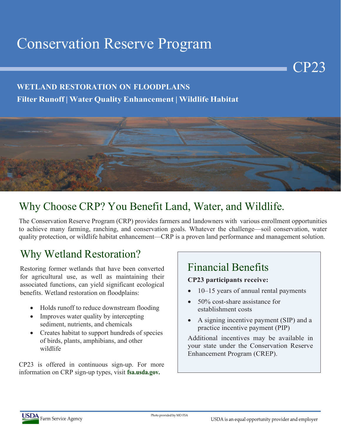# Conservation Reserve Program

#### **WETLAND RESTORATION ON FLOODPLAINS**

**Filter Runoff | Water Quality Enhancement | Wildlife Habitat**



## Why Choose CRP? You Benefit Land, Water, and Wildlife.

The Conservation Reserve Program (CRP) provides farmers and landowners with various enrollment opportunities to achieve many farming, ranching, and conservation goals. Whatever the challenge—soil conservation, water quality protection, or wildlife habitat enhancement—CRP is a proven land performance and management solution.

## Why Wetland Restoration?

Restoring former wetlands that have been converted for agricultural use, as well as maintaining their associated functions, can yield significant ecological benefits. Wetland restoration on floodplains:

- Holds runoff to reduce downstream flooding
- Improves water quality by intercepting sediment, nutrients, and chemicals
- Creates habitat to support hundreds of species of birds, plants, amphibians, and other wildlife

CP23 is offered in continuous sign-up. For more information on CRP sign-up types, visit **fsa.usda.gov.**

## Financial Benefits

#### **CP23 participants receive:**

• 10–15 years of annual rental payments

CP23

- 50% cost-share assistance for establishment costs
- A signing incentive payment (SIP) and a practice incentive payment (PIP)

Additional incentives may be available in your state under the Conservation Reserve Enhancement Program (CREP).